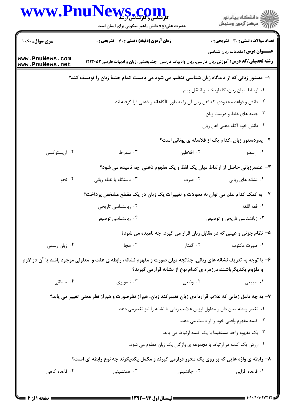| WWW.PnuNews.com                    | حضرت علی(ع): دانش راهبر نیکویی برای ایمان است                                                                       |                                                              | ڪ دانشڪاه پيا <sub>م</sub> نور<br>∕7 مرڪز آزمون وسنڊش                           |
|------------------------------------|---------------------------------------------------------------------------------------------------------------------|--------------------------------------------------------------|---------------------------------------------------------------------------------|
| سری سوال: یک ۱                     | <b>زمان آزمون (دقیقه) : تستی : 60 ٪ تشریحی : 0</b>                                                                  |                                                              | <b>تعداد سوالات : تستی : 30 ٪ تشریحی : 0</b>                                    |
| www.PnuNews.com<br>www.PnuNews.net | <b>رشته تحصیلی/کد درس:</b> آموزش زبان فارسی، زبان وادبیات فارسی -چندبخشی، زبان و ادبیات فارسی ۱۲۱۳۰۵۲               |                                                              | <b>عنـــوان درس:</b> مقدمات زبان شناسی                                          |
|                                    | ا– دستور زبانی که از دیدگاه زبان شناسی تنظیم می شود می بایست کدام جنبهٔ زبان را توصیف کند؟                          |                                                              |                                                                                 |
|                                    |                                                                                                                     |                                                              | ٠١ ارتباط ميان زبان، گفتار، خط و انتقال پيام                                    |
|                                    |                                                                                                                     |                                                              | ۰۲ دانش و قواعد محدودی که اهل زبان آن را به طور ناآگاهانه و ذهنی فرا گرفته اند. |
|                                    |                                                                                                                     |                                                              | ۰۳ جنبه های غلط و درست زبان                                                     |
|                                    |                                                                                                                     |                                                              | ۰۴ دانش خود آگاه ذهنی اهل زبان                                                  |
|                                    |                                                                                                                     |                                                              | ۲- پدردستور زبان ،کدام یک از فلاسفه ی یونانی است؟                               |
| ۰۴ آریستوکلس                       | ۰۳ سقراط                                                                                                            | ۰۲ افلاطون                                                   | ۰۱ ارسطو                                                                        |
|                                    | ۳- عنصرزبانی حاصل از ارتباط میان یک لفظ و یک مفهوم ذهنی چه نامیده می شود؟                                           |                                                              |                                                                                 |
| ۰۴ نحو                             | ۰۳ دستگاه یا نظام زبانی                                                                                             | ۰۲ صرف                                                       | ۰۱ نشانه های زبانی                                                              |
|                                    | ۴- به کمک کدام علم می توان به تحولات و تغییرات یک زبان در یک مقطع مشخص پرداخت؟                                      |                                                              |                                                                                 |
|                                    | ۰۲ زبانشناسی تاریخی                                                                                                 |                                                              | ٠١. فقه اللغه                                                                   |
|                                    | ۰۴ زبانشناسی توصیفی                                                                                                 |                                                              | ۰۳ زبانشناسی تاریخی و توصیفی                                                    |
|                                    |                                                                                                                     |                                                              | ۵- نظام جزئی و عینی که در مقابل زبان قرار می گیرد، چه نامیده می شود؟            |
| ۰۴ زبان رسمي                       | ۰۳ هجا                                                                                                              | ۰۲ گفتار                                                     | ۰۱ صورت مکتوب                                                                   |
|                                    | ۶- با توجه به تعریف نشانه های زبانی، چنانچه میان صورت و مفهوم نشانه، رابطه ی علت و  معلولی موجود باشد یا آن دو لازم |                                                              |                                                                                 |
|                                    |                                                                                                                     | و ملزوم یکدیگرباشند،درزمره ی کدام نوع از نشانه قرارمی گیرند؟ |                                                                                 |
| ۰۴ منطقی                           | ۰۳ تصویری                                                                                                           | ۲. وضعی                                                      | ۰۱ طبیعی                                                                        |
|                                    | ۷– به چه دلیل زمانی که علایم قراردادی زبان تغییرکند زبان، هم از نظرصورت و هم از نظر معنی تغییر می یابد؟             |                                                              |                                                                                 |
|                                    |                                                                                                                     |                                                              | ۰۱ تغییر رابطه میان دال و مدلول ارزش علامت زبانی یا نشانه را نیز تغییرمی دهد.   |
|                                    |                                                                                                                     |                                                              | ۰۲ کلمه مفهوم واقعی خود را از دست می دهد.                                       |
|                                    |                                                                                                                     |                                                              | ۰۳ یک مفهوم واحد مستقیما با یک کلمه ارتباط می یابد.                             |
|                                    |                                                                                                                     |                                                              | ۰۴ ارزش یک کلمه در ارتباط با مجموعه ی واژگان یک زبان معلوم می شود.              |
|                                    | ۸- رابطه ی واژه هایی که بر روی یک محور قرارمی گیرند و مکمل یکدیگرند چه نوع رابطه ای است؟                            |                                                              |                                                                                 |
| ۰۴ قاعده کاهی                      | ۰۳ همنشینی                                                                                                          | ۰۲ جانشینی                                                   | ۰۱ قاعده افزایی                                                                 |

 $= 1.1 - 11.1 - 11117$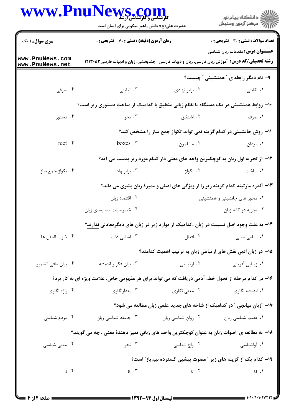| www.Pnul                           | <b>ews.com</b><br>حضرت علی(ع): دانش راهبر نیکویی برای ایمان است                                       |                               | ڪ دانشڪاه پيا <sub>م</sub> نور<br>∕7 مرڪز آزمون وسنڊش                             |  |  |
|------------------------------------|-------------------------------------------------------------------------------------------------------|-------------------------------|-----------------------------------------------------------------------------------|--|--|
| <b>سری سوال : ۱ یک</b>             | <b>زمان آزمون (دقیقه) : تستی : 60 ٪ تشریحی : 0</b>                                                    |                               | تعداد سوالات : تستى : 30 - تشريحي : 0                                             |  |  |
| www.PnuNews.com<br>www.PnuNews.net | <b>رشته تحصیلی/کد درس:</b> آموزش زبان فارسی، زبان وادبیات فارسی -چندبخشی، زبان و ادبیات فارسی ۱۲۱۳۰۵۳ |                               | <b>عنـــوان درس:</b> مقدمات زبان شناسی                                            |  |  |
|                                    |                                                                                                       |                               | ۹- نام دیگر رابطه ی " همنشینی " چیست؟                                             |  |  |
| ۰۴ مرفی                            | ۰۳ تباینی                                                                                             | ۰۲ برابر نهادی                | ۰۱ تقابلی                                                                         |  |  |
|                                    | ∙ا− روابط همنشینی در یک دستگاه یا نظام زبانی منطبق با کدامیک از مباحث دستوری زیر است؟                 |                               |                                                                                   |  |  |
| ۰۴ دستور                           | ۰۳ نحو                                                                                                | ۰۲ اشتقاق                     | ۰۱ صرف                                                                            |  |  |
|                                    |                                                                                                       |                               | 1۱- روش جانشینی در کدام گزینه نمی تواند تکواژ جمع ساز را مشخص کند؟                |  |  |
| feet .*                            | boxes .r                                                                                              | ۰۲ مسلمون                     | ۰۱ مردان                                                                          |  |  |
|                                    | 1۲– از تجزیه اول زبان به کوچکترین واحد های معنی دار کدام مورد زیر بدست می آید؟                        |                               |                                                                                   |  |  |
| ۰۴ تکواژ جمع ساز                   | ۰۳ برابرنهاد                                                                                          | ۰۲ تکواژ                      | ۰۱ ساخت                                                                           |  |  |
|                                    |                                                                                                       |                               | ۱۳- آندره مارتینه کدام گزینه زیر را از ویژگی های اصلی و ممیزهٔ زبان بشری می داند؟ |  |  |
|                                    | ۰۲ اقتصاد زبان                                                                                        | ۰۱ محور های جانشینی و همنشینی |                                                                                   |  |  |
|                                    | ۰۴ خصوصیات سه بعدی زبان                                                                               | ۰۳ تجزیه دو گانه زبان         |                                                                                   |  |  |
|                                    | <b>۱۴</b> - به علت وجود اصل نسبیت در زبان ،کدامیک از موارد زیر در زبان های دیگرمعادلی <u>ندارند</u> ؟ |                               |                                                                                   |  |  |
| ۰۴ ضرب المثل ها                    | ۰۳ اسامی ذات                                                                                          | ٢. افعال                      | ٠١ اسامي معنى                                                                     |  |  |
|                                    |                                                                                                       |                               | ۱۵– در زبان ادبی نقش های ارتباطی زبان به ترتیب اهمیت کدامند؟                      |  |  |
| ۰۴ بيان مافي الضمير                | ۰۳ بیان فکر و اندیشه                                                                                  | ۰۲ ارتباطی                    | ۰۱ زیبایی آفرینی                                                                  |  |  |
|                                    | ۱۶- در کدام مرحله از تحول خط، آدمی دریافت که می تواند برای هر مفهومی خاص، علامت ویژه ای به کار برد؟   |                               |                                                                                   |  |  |
| ۰۴ واژه نگاري                      | ۰۳ پندارنگاری                                                                                         | ۰۲ معنی نگاری                 | ۰۱ اندیشه نگاری                                                                   |  |  |
|                                    |                                                                                                       |                               | ۱۷- "زبان میانجی " در کدامیک از شاخه های جدید علمی زبان مطالعه می شود؟            |  |  |
| ۰۴ مردم شناسی                      | ۰۳ جامعه شناسی زبان                                                                                   | ۰۲ روان شناسی زبان            | ۰۱ عصب شناسی زبان                                                                 |  |  |
|                                    | 1۸– به مطالعه ی  اصوات زبان به عنوان کوچکترین واحد های زبانی تمیز دهندهٔ معنی ، چه می گویند؟          |                               |                                                                                   |  |  |
| ۰۴ معنی شناسی                      | ۰۳ نحو                                                                                                | ۰۲ واج شناسی                  | ۰۱ آواشناسی                                                                       |  |  |
|                                    |                                                                                                       |                               | ۱۹- کدام یک از گزینه های زیر ″ مصوت پیشین گسترده نیم باز″ است؟                    |  |  |
| $i \cdot$                          | $a \cdot r$                                                                                           | $e \cdot r$                   | $u \cdot \mathbf{1}$                                                              |  |  |
|                                    |                                                                                                       |                               |                                                                                   |  |  |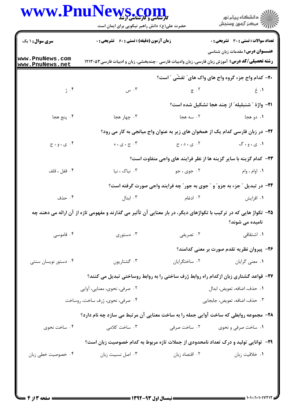|                                    | WWW.PnuNews.com<br>حضرت علی(ع): دانش راهبر نیکویی برای ایمان است                                                   |                | ِ<br>∭ دانشڪاه پيام نور<br>∭ مرڪز آزمون وسنڊش                                    |
|------------------------------------|--------------------------------------------------------------------------------------------------------------------|----------------|----------------------------------------------------------------------------------|
| <b>سری سوال :</b> ۱ یک             | زمان آزمون (دقیقه) : تستی : ۶۰٪ تشریحی : ۰                                                                         |                | <b>تعداد سوالات : تستی : 30 ٪ تشریحی : 0</b>                                     |
| www.PnuNews.com<br>www.PnuNews.net | <b>رشته تحصیلی/کد درس:</b> آموزش زبان فارسی، زبان وادبیات فارسی –چندبخشی، زبان و ادبیات فارسی۱۲۱۳۰۵۳               |                | <b>عنـــوان درس:</b> مقدمات زبان شناسی                                           |
|                                    |                                                                                                                    |                | <b>۲۰</b> - کدام واج جزء گروه واج های واک های ؒ تفشّی ؒ است؟                     |
| $\hat{t}$ : ژ                      | ۰۳ س                                                                                                               |                | $\epsilon$ . T is the set of $\epsilon$ is the set of $\epsilon$                 |
|                                    |                                                                                                                    |                | <b>٢١-</b> واژهٔ " شنبليله" از چند هجا تشکيل شده است؟                            |
| ۴. پنج هجا                         | ۰۳ چهار هجا                                                                                                        |                | ۰۱ دو هجا <b>میلادی که است</b> ان است.                                           |
|                                    |                                                                                                                    |                | ۲۲- در زبان فارسی کدام یک از همخوان های زیر به عنوان واج میانجی به کار می رود؟   |
| ۰۴ ی، و ، ج                        | ۰۳ ج، ی، ه $\cdot$                                                                                                 | ۲. ی ، د ، ج   | ۰۱ ي، و، گ                                                                       |
|                                    |                                                                                                                    |                | <b>۲۳</b> - کدام گزینه با سایر گزینه ها از نظر فرایند های واجی متفاوت است؟       |
| ۰۴ قفل ، قلف                       | ۰۳ نیاک ، نیا                                                                                                      | ۰۲ جوی ، جو    | ۰۱ اوام ، وام                                                                    |
|                                    |                                                                                                                    |                | <b>34- در تبدیل " جزء به جزو" و " جوی به جور" چه فرایند واجی صورت گرفته است؟</b> |
| ۰۴ حذف                             | ۰۳ ابدال                                                                                                           | ۰۲ ادغام       | ۰۱ افزايش                                                                        |
|                                    | ۲۵– تکواژ هایی که در ترکیب با تکواژهای دیگر، در بار معنایی آن تأثیر می گذارند و مفهومی تازه از آن ارائه می دهند چه |                | نامیده می شوند؟                                                                  |
| ۰۴ قاموسی                          | ۰۳ دستوری                                                                                                          | ۰۲ تصریفی      | <b>۱.</b> اشتقاقی                                                                |
|                                    |                                                                                                                    |                | ۲۶– پیروان نظریه تقدم صورت بر معنی کدامند؟                                       |
| ۰۴ دستور نویسان سنتی               | ۰۳ گشتاريون                                                                                                        | ٠٢ ساختگرايان  | ۰۱ معنی گرایان                                                                   |
|                                    | ۲۷- قواعد گشتاری زبان ازکدام راه روابط ژرف ساختی را به روابط روساختی تبدیل می کنند؟                                |                |                                                                                  |
|                                    | ۲. صرفي، نحوي، معنايي، أوايي                                                                                       |                | ٠١ حذف، اضافه، تعويض، ابدال                                                      |
|                                    | ۰۴ صرفی، نحوی، ژرف ساخت، روساخت                                                                                    |                | ٠٣ حذف، اضافه، تعويض، جابجايي                                                    |
|                                    | ۲۸- مجموعه روابطی که ساخت آوایی جمله را به ساخت معنایی آن مرتبط می سازد چه نام دارد؟                               |                |                                                                                  |
| ۰۴ ساخت نحوي                       | ۰۳ ساخت کلامی                                                                                                      | ۰۲ ساخت صرفی   | ۰۱ ساخت صرفی و نحوی                                                              |
|                                    | ۲۹- توانایی تولید و درک تعداد نامحدودی از جملات تازه مربوط به کدام خصوصیت زبان است؟                                |                |                                                                                  |
| ۰۴ خصوصیت خطی زبان                 | ۰۳ اصل نسبیت زبان                                                                                                  | ۰۲ اقتصاد زبان | ٠١. خلاقيت زبان                                                                  |